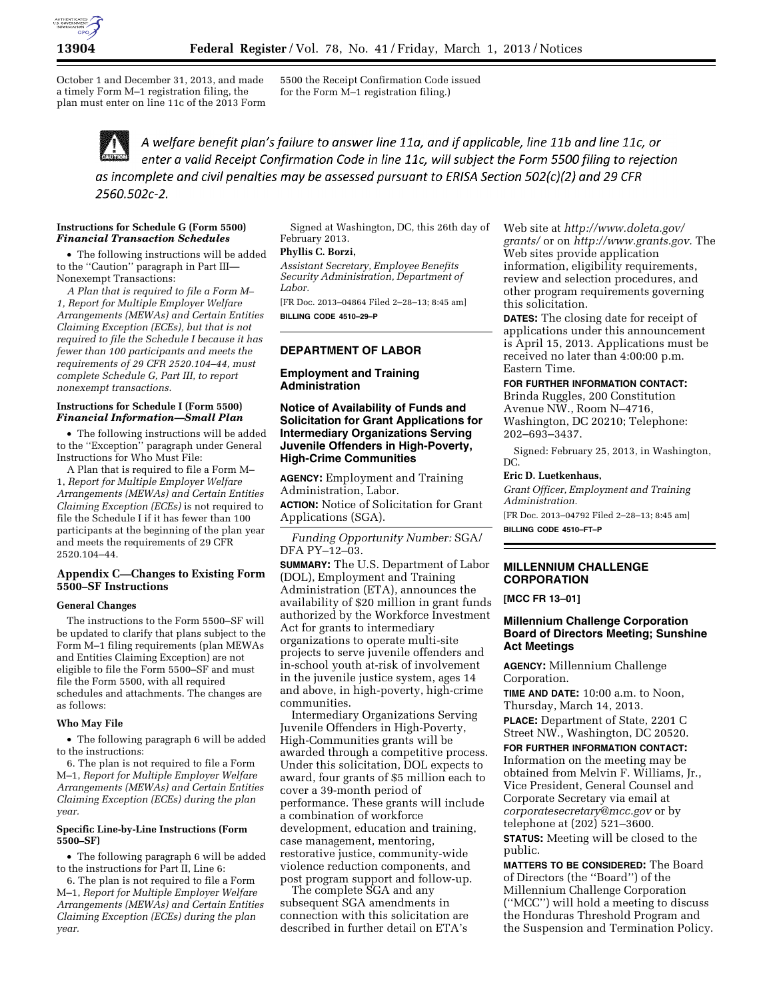

October 1 and December 31, 2013, and made a timely Form M–1 registration filing, the plan must enter on line 11c of the 2013 Form 5500 the Receipt Confirmation Code issued for the Form M–1 registration filing.)

A welfare benefit plan's failure to answer line 11a, and if applicable, line 11b and line 11c, or enter a valid Receipt Confirmation Code in line 11c, will subject the Form 5500 filing to rejection as incomplete and civil penalties may be assessed pursuant to ERISA Section 502(c)(2) and 29 CFR 2560.502c-2.

### **Instructions for Schedule G (Form 5500)**  *Financial Transaction Schedules*

• The following instructions will be added to the ''Caution'' paragraph in Part III— Nonexempt Transactions:

*A Plan that is required to file a Form M– 1, Report for Multiple Employer Welfare Arrangements (MEWAs) and Certain Entities Claiming Exception (ECEs), but that is not required to file the Schedule I because it has fewer than 100 participants and meets the requirements of 29 CFR 2520.104–44, must complete Schedule G, Part III, to report nonexempt transactions.* 

### **Instructions for Schedule I (Form 5500)**  *Financial Information—Small Plan*

• The following instructions will be added to the ''Exception'' paragraph under General Instructions for Who Must File:

A Plan that is required to file a Form M– 1, *Report for Multiple Employer Welfare Arrangements (MEWAs) and Certain Entities Claiming Exception (ECEs)* is not required to file the Schedule I if it has fewer than 100 participants at the beginning of the plan year and meets the requirements of 29 CFR 2520.104–44.

### **Appendix C—Changes to Existing Form 5500–SF Instructions**

#### **General Changes**

The instructions to the Form 5500–SF will be updated to clarify that plans subject to the Form M–1 filing requirements (plan MEWAs and Entities Claiming Exception) are not eligible to file the Form 5500–SF and must file the Form 5500, with all required schedules and attachments. The changes are as follows:

### **Who May File**

• The following paragraph 6 will be added to the instructions:

6. The plan is not required to file a Form M–1, *Report for Multiple Employer Welfare Arrangements (MEWAs) and Certain Entities Claiming Exception (ECEs) during the plan year.* 

#### **Specific Line-by-Line Instructions (Form 5500–SF)**

• The following paragraph 6 will be added to the instructions for Part II, Line 6:

6. The plan is not required to file a Form M–1, *Report for Multiple Employer Welfare Arrangements (MEWAs) and Certain Entities Claiming Exception (ECEs) during the plan year.* 

Signed at Washington, DC, this 26th day of February 2013.

### **Phyllis C. Borzi,**

*Assistant Secretary, Employee Benefits Security Administration, Department of Labor.* 

[FR Doc. 2013–04864 Filed 2–28–13; 8:45 am] **BILLING CODE 4510–29–P** 

# **DEPARTMENT OF LABOR**

**Employment and Training Administration** 

## **Notice of Availability of Funds and Solicitation for Grant Applications for Intermediary Organizations Serving Juvenile Offenders in High-Poverty, High-Crime Communities**

**AGENCY:** Employment and Training Administration, Labor.

**ACTION:** Notice of Solicitation for Grant Applications (SGA).

*Funding Opportunity Number:* SGA/ DFA PY–12–03.

**SUMMARY:** The U.S. Department of Labor (DOL), Employment and Training Administration (ETA), announces the availability of \$20 million in grant funds authorized by the Workforce Investment Act for grants to intermediary organizations to operate multi-site projects to serve juvenile offenders and in-school youth at-risk of involvement in the juvenile justice system, ages 14 and above, in high-poverty, high-crime communities.

Intermediary Organizations Serving Juvenile Offenders in High-Poverty, High-Communities grants will be awarded through a competitive process. Under this solicitation, DOL expects to award, four grants of \$5 million each to cover a 39-month period of performance. These grants will include a combination of workforce development, education and training, case management, mentoring, restorative justice, community-wide violence reduction components, and post program support and follow-up.

The complete SGA and any subsequent SGA amendments in connection with this solicitation are described in further detail on ETA's

Web site at *[http://www.doleta.gov/](http://www.doleta.gov/grants/) [grants/](http://www.doleta.gov/grants/)* or on *[http://www.grants.gov.](http://www.grants.gov)* The Web sites provide application information, eligibility requirements, review and selection procedures, and other program requirements governing this solicitation.

**DATES:** The closing date for receipt of applications under this announcement is April 15, 2013. Applications must be received no later than 4:00:00 p.m. Eastern Time.

### **FOR FURTHER INFORMATION CONTACT:**

Brinda Ruggles, 200 Constitution Avenue NW., Room N–4716, Washington, DC 20210; Telephone: 202–693–3437.

Signed: February 25, 2013, in Washington, DC.

### **Eric D. Luetkenhaus,**

*Grant Officer, Employment and Training Administration.* 

[FR Doc. 2013–04792 Filed 2–28–13; 8:45 am]

**BILLING CODE 4510–FT–P** 

#### **MILLENNIUM CHALLENGE CORPORATION**

**[MCC FR 13–01]** 

## **Millennium Challenge Corporation Board of Directors Meeting; Sunshine Act Meetings**

**AGENCY:** Millennium Challenge Corporation.

**TIME AND DATE:** 10:00 a.m. to Noon, Thursday, March 14, 2013.

**PLACE:** Department of State, 2201 C Street NW., Washington, DC 20520.

**FOR FURTHER INFORMATION CONTACT:**  Information on the meeting may be obtained from Melvin F. Williams, Jr., Vice President, General Counsel and Corporate Secretary via email at *[corporatesecretary@mcc.gov](mailto:corporatesecretary@mcc.gov)* or by telephone at (202) 521–3600.

**STATUS:** Meeting will be closed to the public.

**MATTERS TO BE CONSIDERED:** The Board of Directors (the ''Board'') of the Millennium Challenge Corporation (''MCC'') will hold a meeting to discuss the Honduras Threshold Program and the Suspension and Termination Policy.